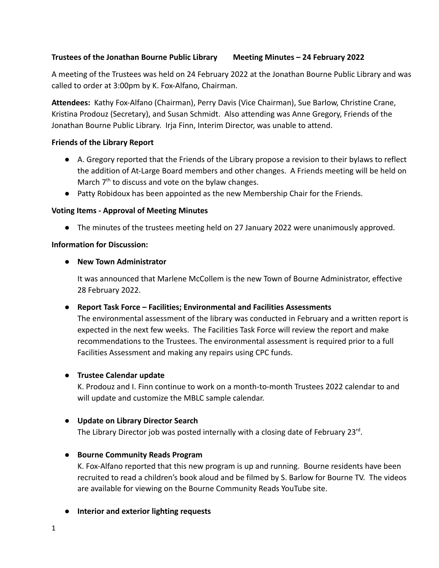# **Trustees of the Jonathan Bourne Public Library Meeting Minutes – 24 February 2022**

A meeting of the Trustees was held on 24 February 2022 at the Jonathan Bourne Public Library and was called to order at 3:00pm by K. Fox-Alfano, Chairman.

**Attendees:** Kathy Fox-Alfano (Chairman), Perry Davis (Vice Chairman), Sue Barlow, Christine Crane, Kristina Prodouz (Secretary), and Susan Schmidt. Also attending was Anne Gregory, Friends of the Jonathan Bourne Public Library. Irja Finn, Interim Director, was unable to attend.

## **Friends of the Library Report**

- **●** A. Gregory reported that the Friends of the Library propose a revision to their bylaws to reflect the addition of At-Large Board members and other changes. A Friends meeting will be held on March  $7<sup>th</sup>$  to discuss and vote on the bylaw changes.
- **●** Patty Robidoux has been appointed as the new Membership Chair for the Friends.

## **Voting Items - Approval of Meeting Minutes**

**●** The minutes of the trustees meeting held on 27 January 2022 were unanimously approved.

## **Information for Discussion:**

## ● **New Town Administrator**

It was announced that Marlene McCollem is the new Town of Bourne Administrator, effective 28 February 2022.

## **● Report Task Force – Facilities; Environmental and Facilities Assessments**

The environmental assessment of the library was conducted in February and a written report is expected in the next few weeks. The Facilities Task Force will review the report and make recommendations to the Trustees. The environmental assessment is required prior to a full Facilities Assessment and making any repairs using CPC funds.

#### **● Trustee Calendar update**

K. Prodouz and I. Finn continue to work on a month-to-month Trustees 2022 calendar to and will update and customize the MBLC sample calendar.

## **● Update on Library Director Search**

The Library Director job was posted internally with a closing date of February 23<sup>rd</sup>.

## **● Bourne Community Reads Program**

K. Fox-Alfano reported that this new program is up and running. Bourne residents have been recruited to read a children's book aloud and be filmed by S. Barlow for Bourne TV. The videos are available for viewing on the Bourne Community Reads YouTube site.

#### **● Interior and exterior lighting requests**